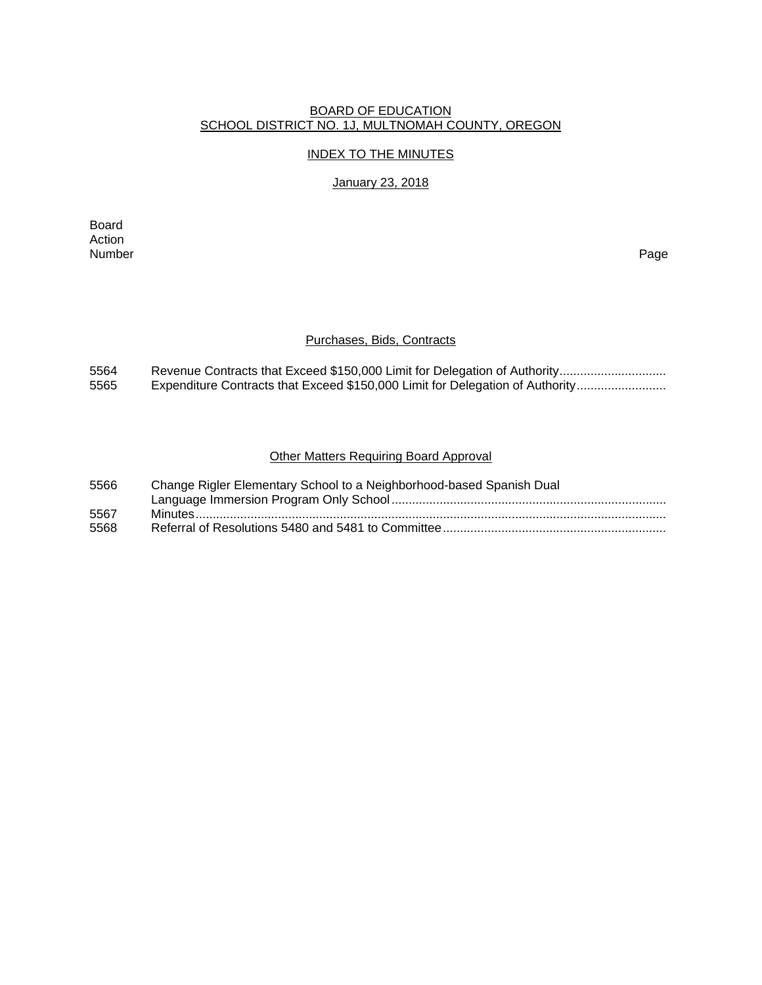## BOARD OF EDUCATION SCHOOL DISTRICT NO. 1J, MULTNOMAH COUNTY, OREGON

### INDEX TO THE MINUTES

## January 23, 2018

Board Action<br>Number Number Page

### Purchases, Bids, Contracts

5564 Revenue Contracts that Exceed \$150,000 Limit for Delegation of Authority................................ 5565 Expenditure Contracts that Exceed \$150,000 Limit for Delegation of Authority..........................

## Other Matters Requiring Board Approval

| 5566 | Change Rigler Elementary School to a Neighborhood-based Spanish Dual |
|------|----------------------------------------------------------------------|
|      |                                                                      |
| 5567 |                                                                      |
| 5568 |                                                                      |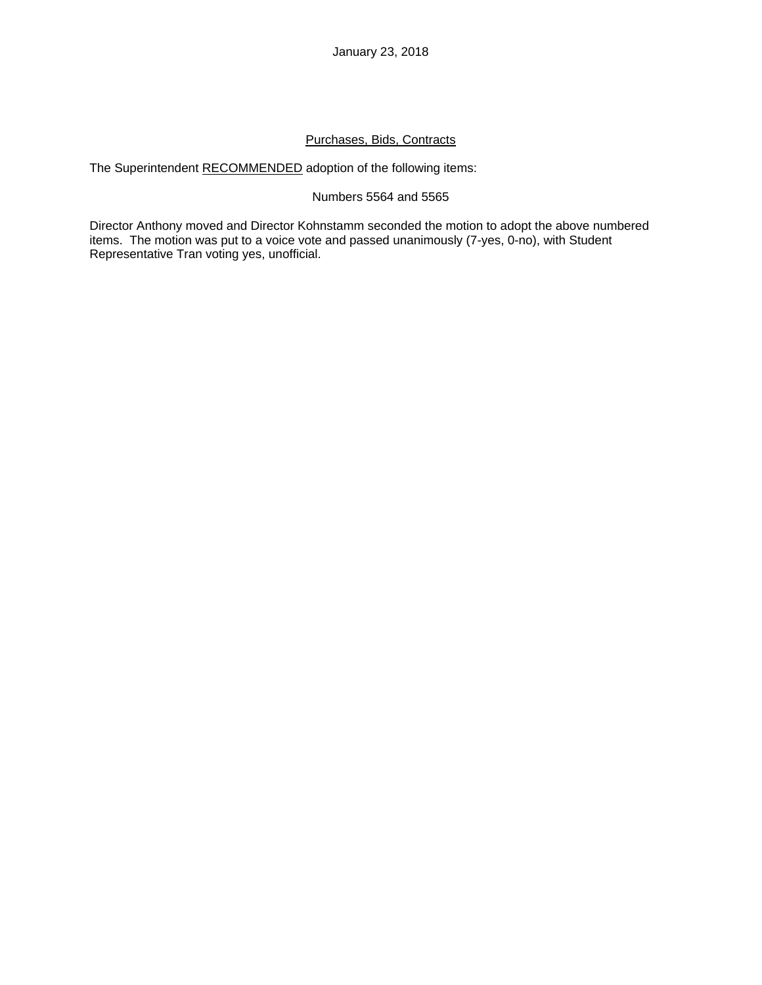# Purchases, Bids, Contracts

The Superintendent RECOMMENDED adoption of the following items:

# Numbers 5564 and 5565

Director Anthony moved and Director Kohnstamm seconded the motion to adopt the above numbered items. The motion was put to a voice vote and passed unanimously (7-yes, 0-no), with Student Representative Tran voting yes, unofficial.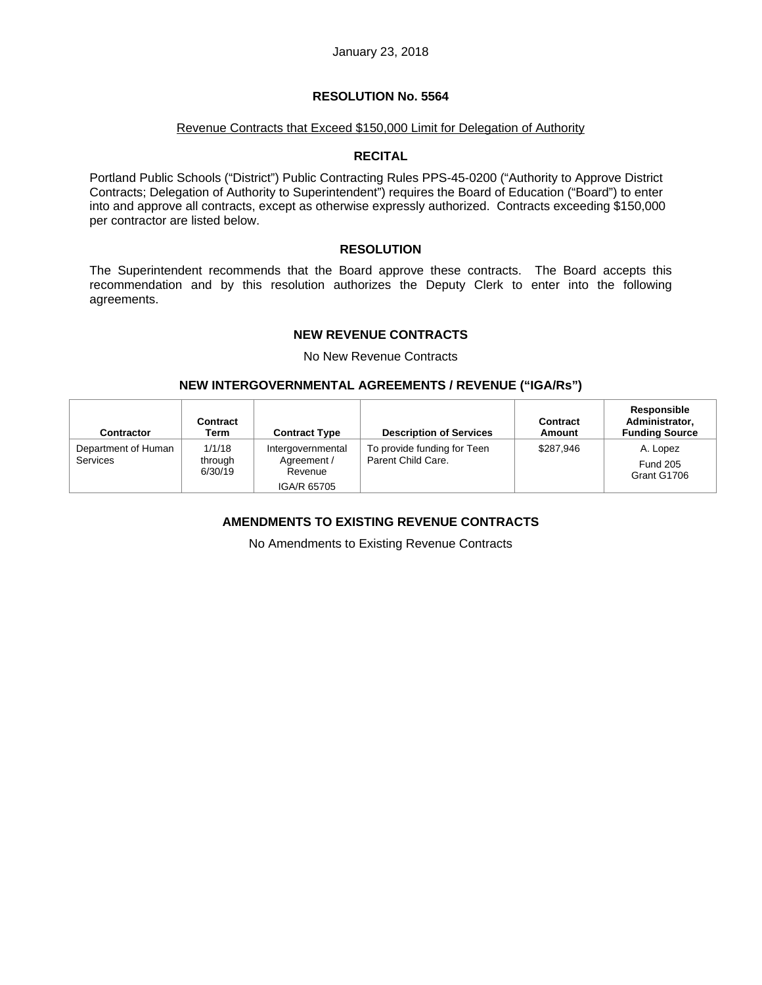### Revenue Contracts that Exceed \$150,000 Limit for Delegation of Authority

### **RECITAL**

Portland Public Schools ("District") Public Contracting Rules PPS-45-0200 ("Authority to Approve District Contracts; Delegation of Authority to Superintendent") requires the Board of Education ("Board") to enter into and approve all contracts, except as otherwise expressly authorized. Contracts exceeding \$150,000 per contractor are listed below.

### **RESOLUTION**

The Superintendent recommends that the Board approve these contracts. The Board accepts this recommendation and by this resolution authorizes the Deputy Clerk to enter into the following agreements.

## **NEW REVENUE CONTRACTS**

No New Revenue Contracts

## **NEW INTERGOVERNMENTAL AGREEMENTS / REVENUE ("IGA/Rs")**

| Contractor                             | Contract<br>Term             | <b>Contract Type</b>                                       | <b>Description of Services</b>                    | Contract<br>Amount | Responsible<br>Administrator,<br><b>Funding Source</b> |
|----------------------------------------|------------------------------|------------------------------------------------------------|---------------------------------------------------|--------------------|--------------------------------------------------------|
| Department of Human<br><b>Services</b> | 1/1/18<br>through<br>6/30/19 | Intergovernmental<br>Agreement /<br>Revenue<br>IGA/R 65705 | To provide funding for Teen<br>Parent Child Care. | \$287.946          | A. Lopez<br><b>Fund 205</b><br>Grant G1706             |

# **AMENDMENTS TO EXISTING REVENUE CONTRACTS**

No Amendments to Existing Revenue Contracts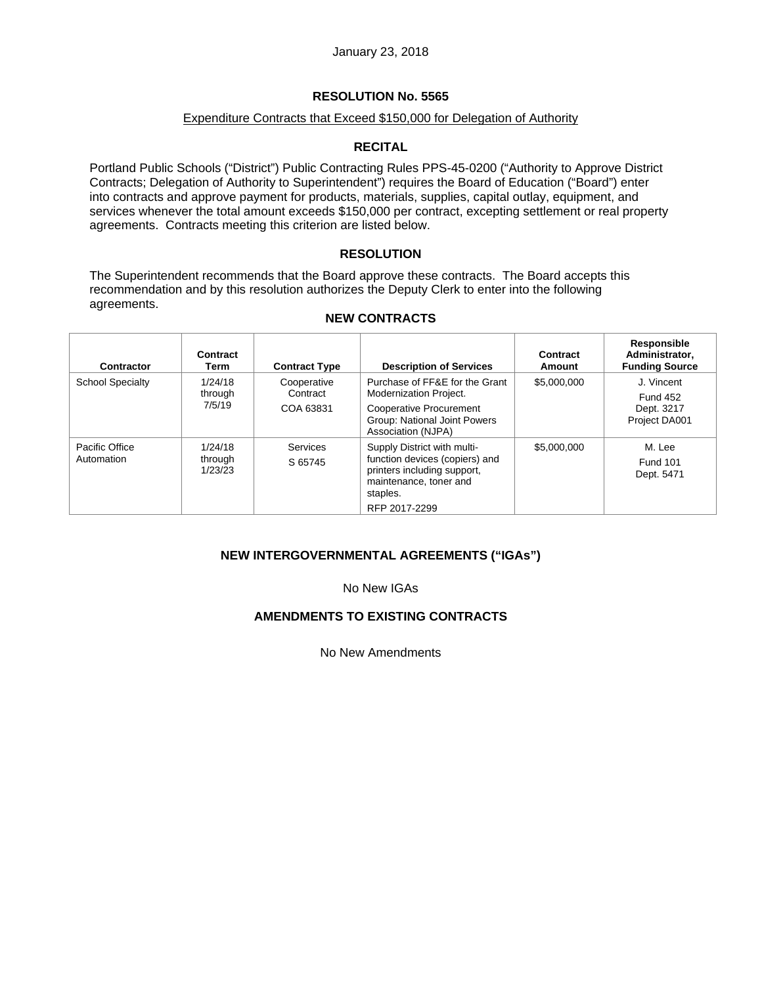# Expenditure Contracts that Exceed \$150,000 for Delegation of Authority

# **RECITAL**

Portland Public Schools ("District") Public Contracting Rules PPS-45-0200 ("Authority to Approve District Contracts; Delegation of Authority to Superintendent") requires the Board of Education ("Board") enter into contracts and approve payment for products, materials, supplies, capital outlay, equipment, and services whenever the total amount exceeds \$150,000 per contract, excepting settlement or real property agreements. Contracts meeting this criterion are listed below.

# **RESOLUTION**

The Superintendent recommends that the Board approve these contracts. The Board accepts this recommendation and by this resolution authorizes the Deputy Clerk to enter into the following agreements.

| Contractor                   | Contract<br>Term              | <b>Contract Type</b>                 | <b>Description of Services</b>                                                                                                                      | Contract<br>Amount | Responsible<br>Administrator,<br><b>Funding Source</b>       |
|------------------------------|-------------------------------|--------------------------------------|-----------------------------------------------------------------------------------------------------------------------------------------------------|--------------------|--------------------------------------------------------------|
| <b>School Specialty</b>      | 1/24/18<br>through<br>7/5/19  | Cooperative<br>Contract<br>COA 63831 | Purchase of FF&E for the Grant<br><b>Modernization Project.</b><br>Cooperative Procurement<br>Group: National Joint Powers<br>Association (NJPA)    | \$5,000,000        | J. Vincent<br><b>Fund 452</b><br>Dept. 3217<br>Project DA001 |
| Pacific Office<br>Automation | 1/24/18<br>through<br>1/23/23 | Services<br>S 65745                  | Supply District with multi-<br>function devices (copiers) and<br>printers including support,<br>maintenance, toner and<br>staples.<br>RFP 2017-2299 | \$5,000,000        | M. Lee<br><b>Fund 101</b><br>Dept. 5471                      |

# **NEW CONTRACTS**

# **NEW INTERGOVERNMENTAL AGREEMENTS ("IGAs")**

No New IGAs

# **AMENDMENTS TO EXISTING CONTRACTS**

No New Amendments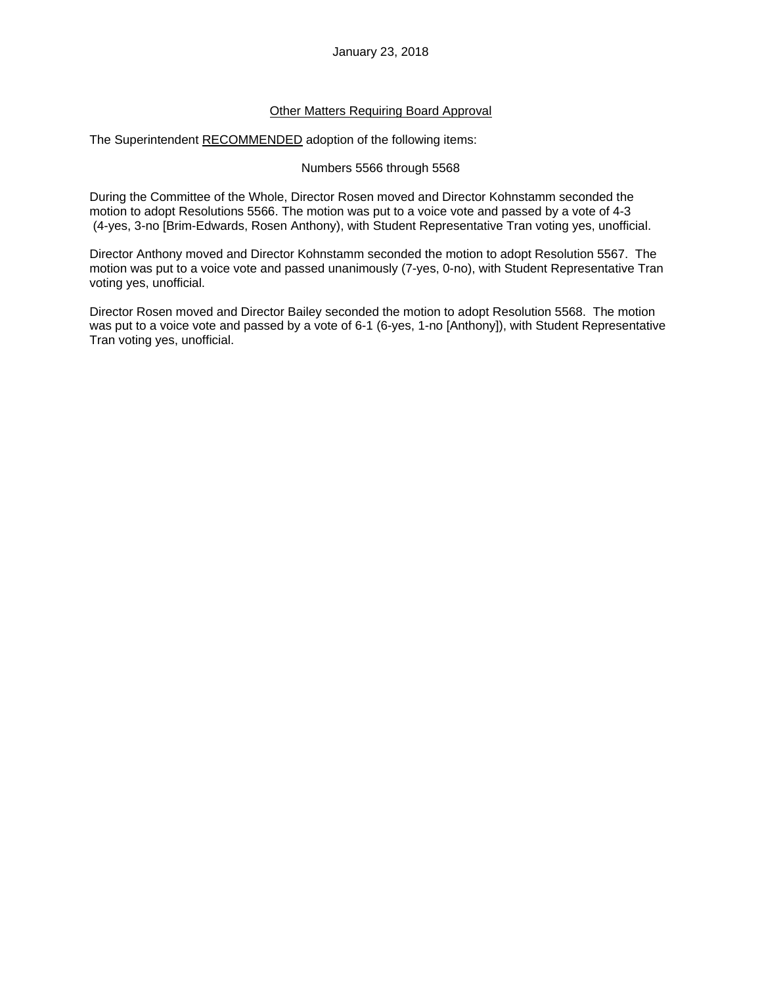## Other Matters Requiring Board Approval

The Superintendent RECOMMENDED adoption of the following items:

## Numbers 5566 through 5568

During the Committee of the Whole, Director Rosen moved and Director Kohnstamm seconded the motion to adopt Resolutions 5566. The motion was put to a voice vote and passed by a vote of 4-3 (4-yes, 3-no [Brim-Edwards, Rosen Anthony), with Student Representative Tran voting yes, unofficial.

Director Anthony moved and Director Kohnstamm seconded the motion to adopt Resolution 5567. The motion was put to a voice vote and passed unanimously (7-yes, 0-no), with Student Representative Tran voting yes, unofficial.

Director Rosen moved and Director Bailey seconded the motion to adopt Resolution 5568. The motion was put to a voice vote and passed by a vote of 6-1 (6-yes, 1-no [Anthony]), with Student Representative Tran voting yes, unofficial.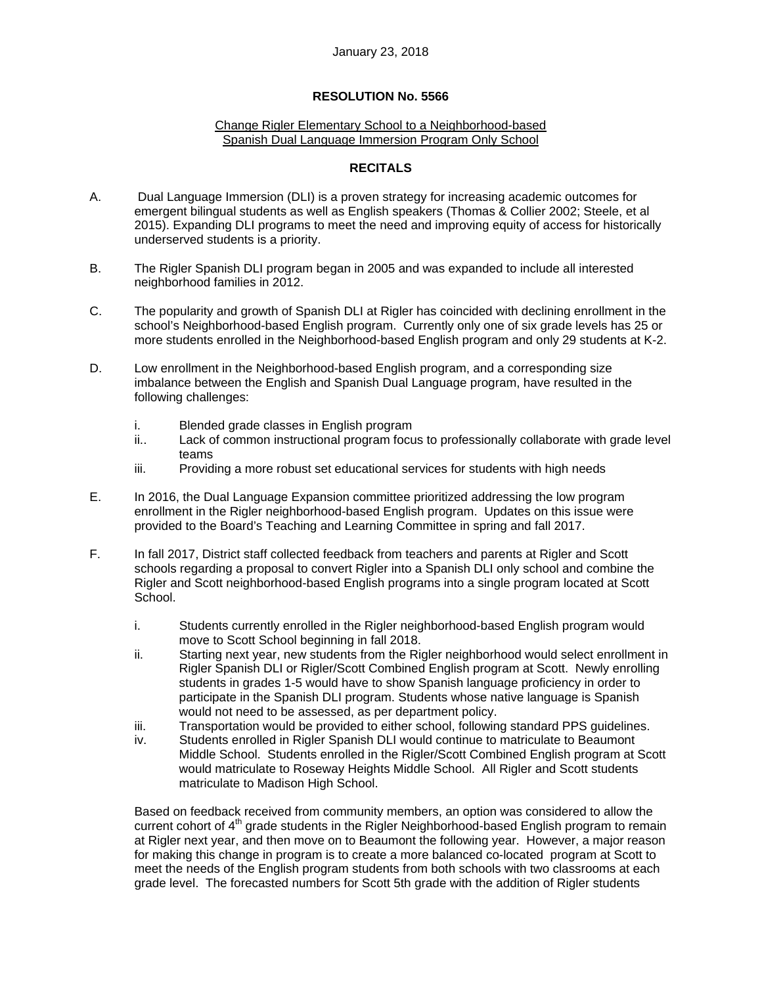### Change Rigler Elementary School to a Neighborhood-based Spanish Dual Language Immersion Program Only School

## **RECITALS**

- A. Dual Language Immersion (DLI) is a proven strategy for increasing academic outcomes for emergent bilingual students as well as English speakers (Thomas & Collier 2002; Steele, et al 2015). Expanding DLI programs to meet the need and improving equity of access for historically underserved students is a priority.
- B. The Rigler Spanish DLI program began in 2005 and was expanded to include all interested neighborhood families in 2012.
- C. The popularity and growth of Spanish DLI at Rigler has coincided with declining enrollment in the school's Neighborhood-based English program. Currently only one of six grade levels has 25 or more students enrolled in the Neighborhood-based English program and only 29 students at K-2.
- D. Low enrollment in the Neighborhood-based English program, and a corresponding size imbalance between the English and Spanish Dual Language program, have resulted in the following challenges:
	- i. Blended grade classes in English program
	- ii.. Lack of common instructional program focus to professionally collaborate with grade level teams
	- iii. Providing a more robust set educational services for students with high needs
- E. In 2016, the Dual Language Expansion committee prioritized addressing the low program enrollment in the Rigler neighborhood-based English program. Updates on this issue were provided to the Board's Teaching and Learning Committee in spring and fall 2017.
- F. In fall 2017, District staff collected feedback from teachers and parents at Rigler and Scott schools regarding a proposal to convert Rigler into a Spanish DLI only school and combine the Rigler and Scott neighborhood-based English programs into a single program located at Scott School.
	- i. Students currently enrolled in the Rigler neighborhood-based English program would move to Scott School beginning in fall 2018.
	- ii. Starting next year, new students from the Rigler neighborhood would select enrollment in Rigler Spanish DLI or Rigler/Scott Combined English program at Scott. Newly enrolling students in grades 1-5 would have to show Spanish language proficiency in order to participate in the Spanish DLI program. Students whose native language is Spanish would not need to be assessed, as per department policy.
	- iii. Transportation would be provided to either school, following standard PPS guidelines.
	- iv. Students enrolled in Rigler Spanish DLI would continue to matriculate to Beaumont Middle School. Students enrolled in the Rigler/Scott Combined English program at Scott would matriculate to Roseway Heights Middle School. All Rigler and Scott students matriculate to Madison High School.

Based on feedback received from community members, an option was considered to allow the current cohort of 4<sup>th</sup> grade students in the Rigler Neighborhood-based English program to remain at Rigler next year, and then move on to Beaumont the following year. However, a major reason for making this change in program is to create a more balanced co-located program at Scott to meet the needs of the English program students from both schools with two classrooms at each grade level. The forecasted numbers for Scott 5th grade with the addition of Rigler students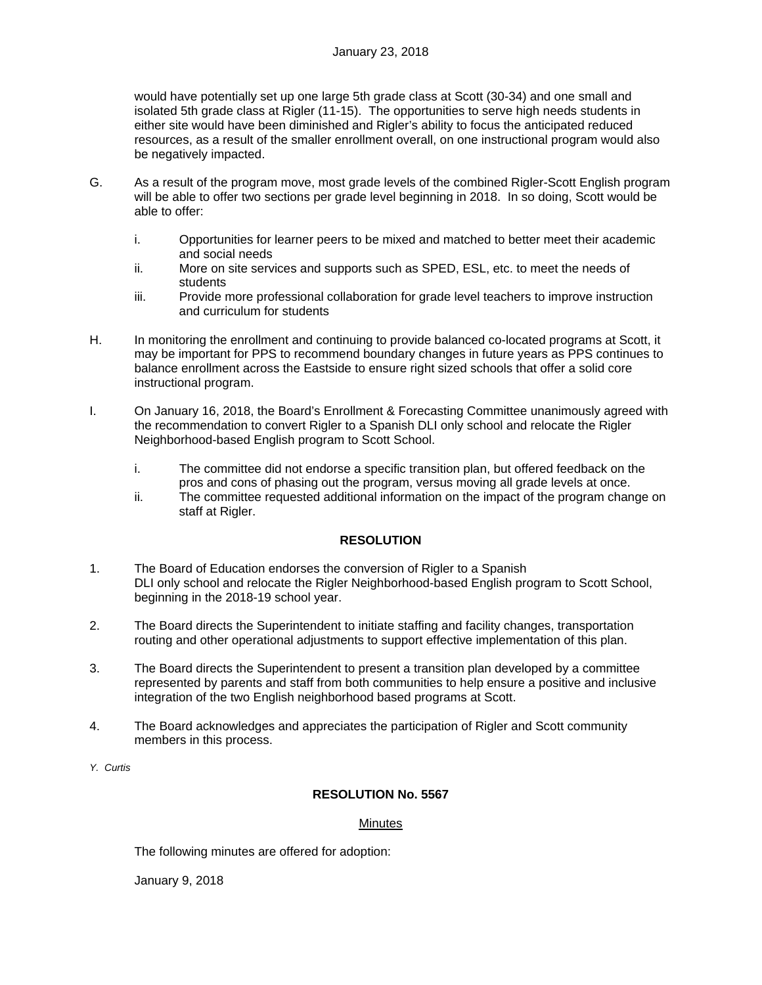would have potentially set up one large 5th grade class at Scott (30-34) and one small and isolated 5th grade class at Rigler (11-15). The opportunities to serve high needs students in either site would have been diminished and Rigler's ability to focus the anticipated reduced resources, as a result of the smaller enrollment overall, on one instructional program would also be negatively impacted.

- G. As a result of the program move, most grade levels of the combined Rigler-Scott English program will be able to offer two sections per grade level beginning in 2018. In so doing, Scott would be able to offer:
	- i. Opportunities for learner peers to be mixed and matched to better meet their academic and social needs
	- ii. More on site services and supports such as SPED, ESL, etc. to meet the needs of students
	- iii. Provide more professional collaboration for grade level teachers to improve instruction and curriculum for students
- H. In monitoring the enrollment and continuing to provide balanced co-located programs at Scott, it may be important for PPS to recommend boundary changes in future years as PPS continues to balance enrollment across the Eastside to ensure right sized schools that offer a solid core instructional program.
- I. On January 16, 2018, the Board's Enrollment & Forecasting Committee unanimously agreed with the recommendation to convert Rigler to a Spanish DLI only school and relocate the Rigler Neighborhood-based English program to Scott School.
	- i. The committee did not endorse a specific transition plan, but offered feedback on the pros and cons of phasing out the program, versus moving all grade levels at once.
	- ii. The committee requested additional information on the impact of the program change on staff at Rigler.

# **RESOLUTION**

- 1. The Board of Education endorses the conversion of Rigler to a Spanish DLI only school and relocate the Rigler Neighborhood-based English program to Scott School, beginning in the 2018-19 school year.
- 2. The Board directs the Superintendent to initiate staffing and facility changes, transportation routing and other operational adjustments to support effective implementation of this plan.
- 3. The Board directs the Superintendent to present a transition plan developed by a committee represented by parents and staff from both communities to help ensure a positive and inclusive integration of the two English neighborhood based programs at Scott.
- 4. The Board acknowledges and appreciates the participation of Rigler and Scott community members in this process.
- *Y. Curtis*

# **RESOLUTION No. 5567**

### Minutes

The following minutes are offered for adoption:

January 9, 2018